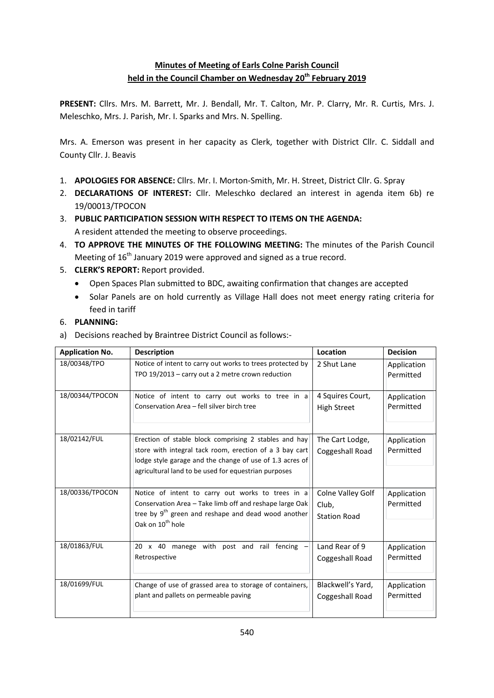# **Minutes of Meeting of Earls Colne Parish Council held in the Council Chamber on Wednesday 20th February 2019**

**PRESENT:** Cllrs. Mrs. M. Barrett, Mr. J. Bendall, Mr. T. Calton, Mr. P. Clarry, Mr. R. Curtis, Mrs. J. Meleschko, Mrs. J. Parish, Mr. I. Sparks and Mrs. N. Spelling.

Mrs. A. Emerson was present in her capacity as Clerk, together with District Cllr. C. Siddall and County Cllr. J. Beavis

- 1. **APOLOGIES FOR ABSENCE:** Cllrs. Mr. I. Morton-Smith, Mr. H. Street, District Cllr. G. Spray
- 2. **DECLARATIONS OF INTEREST:** Cllr. Meleschko declared an interest in agenda item 6b) re 19/00013/TPOCON
- 3. **PUBLIC PARTICIPATION SESSION WITH RESPECT TO ITEMS ON THE AGENDA:** A resident attended the meeting to observe proceedings.
- 4. **TO APPROVE THE MINUTES OF THE FOLLOWING MEETING:** The minutes of the Parish Council Meeting of  $16<sup>th</sup>$  January 2019 were approved and signed as a true record.
- 5. **CLERK'S REPORT:** Report provided.
	- Open Spaces Plan submitted to BDC, awaiting confirmation that changes are accepted
	- Solar Panels are on hold currently as Village Hall does not meet energy rating criteria for feed in tariff

## 6. **PLANNING:**

a) Decisions reached by Braintree District Council as follows:-

| <b>Application No.</b> | <b>Description</b>                                                                                                                                                                                                                   | Location                                          | <b>Decision</b>          |
|------------------------|--------------------------------------------------------------------------------------------------------------------------------------------------------------------------------------------------------------------------------------|---------------------------------------------------|--------------------------|
| 18/00348/TPO           | Notice of intent to carry out works to trees protected by<br>TPO 19/2013 - carry out a 2 metre crown reduction                                                                                                                       | 2 Shut Lane                                       | Application<br>Permitted |
| 18/00344/TPOCON        | Notice of intent to carry out works to tree in a<br>Conservation Area - fell silver birch tree                                                                                                                                       | 4 Squires Court,<br><b>High Street</b>            | Application<br>Permitted |
| 18/02142/FUL           | Erection of stable block comprising 2 stables and hay<br>store with integral tack room, erection of a 3 bay cart<br>lodge style garage and the change of use of 1.3 acres of<br>agricultural land to be used for equestrian purposes | The Cart Lodge,<br>Coggeshall Road                | Application<br>Permitted |
| 18/00336/TPOCON        | Notice of intent to carry out works to trees in a<br>Conservation Area - Take limb off and reshape large Oak<br>tree by $9th$ green and reshape and dead wood another<br>Oak on 10 <sup>th</sup> hole                                | Colne Valley Golf<br>Club,<br><b>Station Road</b> | Application<br>Permitted |
| 18/01863/FUL           | 20 x 40 manege with post and rail fencing<br>Retrospective                                                                                                                                                                           | Land Rear of 9<br>Coggeshall Road                 | Application<br>Permitted |
| 18/01699/FUL           | Change of use of grassed area to storage of containers,<br>plant and pallets on permeable paving                                                                                                                                     | Blackwell's Yard,<br>Coggeshall Road              | Application<br>Permitted |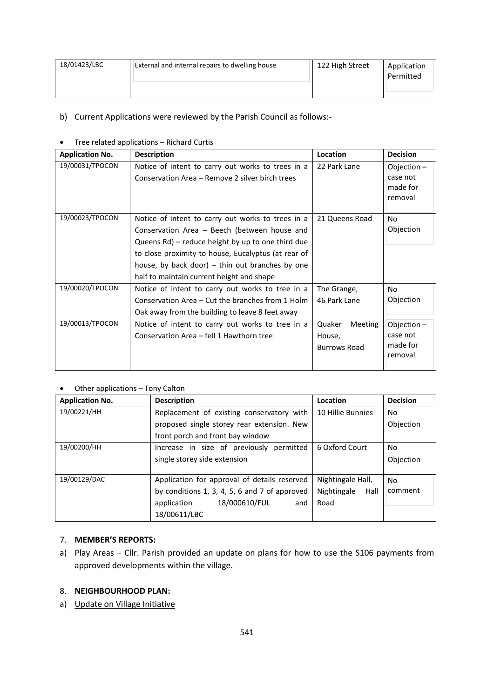| 18/01423/LBC | <b>External and internal repairs to dwelling house</b> | 122 High Street | Application |
|--------------|--------------------------------------------------------|-----------------|-------------|
|              |                                                        |                 | Permitted   |
|              |                                                        |                 |             |

## b) Current Applications were reviewed by the Parish Council as follows:-

#### Tree related applications – Richard Curtis

| <b>Application No.</b> | <b>Description</b>                                                                                                                                                                                                                                                                                              | Location                                    | <b>Decision</b>                                |
|------------------------|-----------------------------------------------------------------------------------------------------------------------------------------------------------------------------------------------------------------------------------------------------------------------------------------------------------------|---------------------------------------------|------------------------------------------------|
| 19/00031/TPOCON        | Notice of intent to carry out works to trees in a<br>Conservation Area – Remove 2 silver birch trees                                                                                                                                                                                                            | 22 Park Lane                                | Objection -<br>case not<br>made for<br>removal |
| 19/00023/TPOCON        | Notice of intent to carry out works to trees in a<br>Conservation Area - Beech (between house and<br>Queens Rd) – reduce height by up to one third due<br>to close proximity to house, Eucalyptus (at rear of<br>house, by back door) $-$ thin out branches by one<br>half to maintain current height and shape | 21 Queens Road                              | No<br>Objection                                |
| 19/00020/TPOCON        | Notice of intent to carry out works to tree in a<br>Conservation Area – Cut the branches from 1 Holm<br>Oak away from the building to leave 8 feet away                                                                                                                                                         | The Grange,<br>46 Park Lane                 | No<br>Objection                                |
| 19/00013/TPOCON        | Notice of intent to carry out works to tree in a<br>Conservation Area - fell 1 Hawthorn tree                                                                                                                                                                                                                    | Meeting<br>Quaker<br>House,<br>Burrows Road | Objection -<br>case not<br>made for<br>removal |

#### Other applications – Tony Calton

| <b>Application No.</b> | <b>Description</b>                            | Location            | <b>Decision</b> |
|------------------------|-----------------------------------------------|---------------------|-----------------|
| 19/00221/HH            | Replacement of existing conservatory with     | 10 Hillie Bunnies   | No.             |
|                        | proposed single storey rear extension. New    |                     | Objection       |
|                        | front porch and front bay window              |                     |                 |
| 19/00200/HH            | Increase in size of previously permitted      | 6 Oxford Court      | No.             |
|                        | single storey side extension                  |                     | Objection       |
|                        |                                               |                     |                 |
| 19/00129/DAC           | Application for approval of details reserved  | Nightingale Hall,   | No.             |
|                        | by conditions 1, 3, 4, 5, 6 and 7 of approved | Nightingale<br>Hall | comment         |
|                        | 18/000610/FUL<br>application<br>and           | Road                |                 |
|                        | 18/00611/LBC                                  |                     |                 |

# 7. **MEMBER'S REPORTS:**

a) Play Areas – Cllr. Parish provided an update on plans for how to use the S106 payments from approved developments within the village.

#### 8. **NEIGHBOURHOOD PLAN:**

a) Update on Village Initiative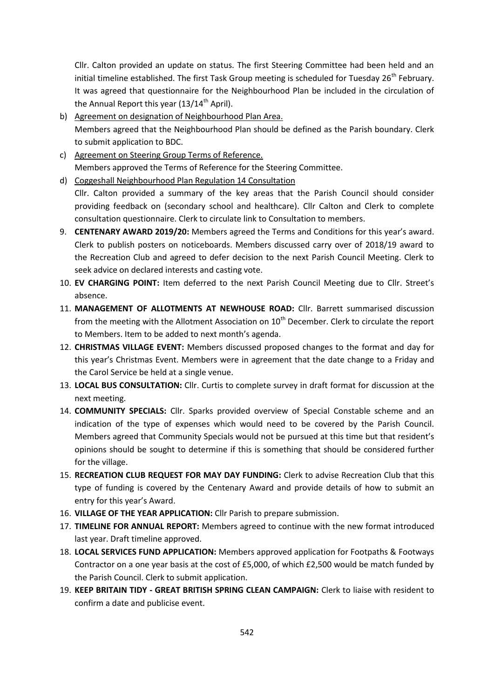Cllr. Calton provided an update on status. The first Steering Committee had been held and an initial timeline established. The first Task Group meeting is scheduled for Tuesday 26<sup>th</sup> February. It was agreed that questionnaire for the Neighbourhood Plan be included in the circulation of the Annual Report this year  $(13/14^{\text{th}}$  April).

- b) Agreement on designation of Neighbourhood Plan Area. Members agreed that the Neighbourhood Plan should be defined as the Parish boundary. Clerk to submit application to BDC.
- c) Agreement on Steering Group Terms of Reference. Members approved the Terms of Reference for the Steering Committee.
- d) Coggeshall Neighbourhood Plan Regulation 14 Consultation Cllr. Calton provided a summary of the key areas that the Parish Council should consider providing feedback on (secondary school and healthcare). Cllr Calton and Clerk to complete consultation questionnaire. Clerk to circulate link to Consultation to members.
- 9. **CENTENARY AWARD 2019/20:** Members agreed the Terms and Conditions for this year's award. Clerk to publish posters on noticeboards. Members discussed carry over of 2018/19 award to the Recreation Club and agreed to defer decision to the next Parish Council Meeting. Clerk to seek advice on declared interests and casting vote.
- 10. **EV CHARGING POINT:** Item deferred to the next Parish Council Meeting due to Cllr. Street's absence.
- 11. **MANAGEMENT OF ALLOTMENTS AT NEWHOUSE ROAD:** Cllr. Barrett summarised discussion from the meeting with the Allotment Association on  $10<sup>th</sup>$  December. Clerk to circulate the report to Members. Item to be added to next month's agenda.
- 12. **CHRISTMAS VILLAGE EVENT:** Members discussed proposed changes to the format and day for this year's Christmas Event. Members were in agreement that the date change to a Friday and the Carol Service be held at a single venue.
- 13. **LOCAL BUS CONSULTATION:** Cllr. Curtis to complete survey in draft format for discussion at the next meeting.
- 14. **COMMUNITY SPECIALS:** Cllr. Sparks provided overview of Special Constable scheme and an indication of the type of expenses which would need to be covered by the Parish Council. Members agreed that Community Specials would not be pursued at this time but that resident's opinions should be sought to determine if this is something that should be considered further for the village.
- 15. **RECREATION CLUB REQUEST FOR MAY DAY FUNDING:** Clerk to advise Recreation Club that this type of funding is covered by the Centenary Award and provide details of how to submit an entry for this year's Award.
- 16. **VILLAGE OF THE YEAR APPLICATION:** Cllr Parish to prepare submission.
- 17. **TIMELINE FOR ANNUAL REPORT:** Members agreed to continue with the new format introduced last year. Draft timeline approved.
- 18. **LOCAL SERVICES FUND APPLICATION:** Members approved application for Footpaths & Footways Contractor on a one year basis at the cost of £5,000, of which £2,500 would be match funded by the Parish Council. Clerk to submit application.
- 19. **KEEP BRITAIN TIDY - GREAT BRITISH SPRING CLEAN CAMPAIGN:** Clerk to liaise with resident to confirm a date and publicise event.